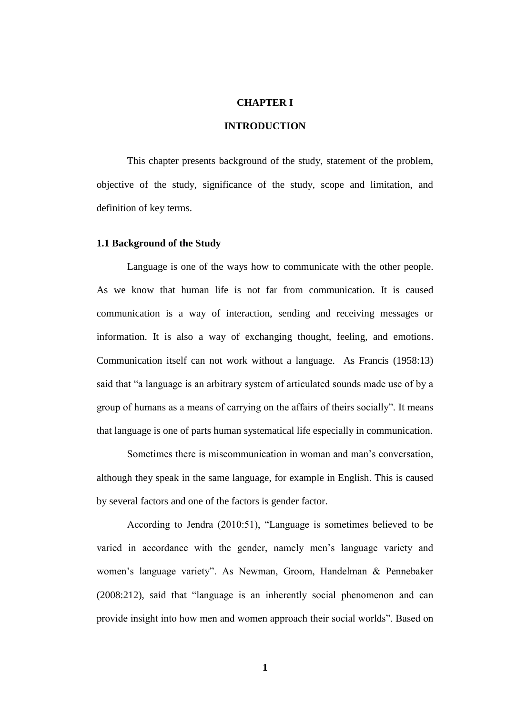#### **CHAPTER I**

# **INTRODUCTION**

This chapter presents background of the study, statement of the problem, objective of the study, significance of the study, scope and limitation, and definition of key terms.

#### **1.1 Background of the Study**

Language is one of the ways how to communicate with the other people. As we know that human life is not far from communication. It is caused communication is a way of interaction, sending and receiving messages or information. It is also a way of exchanging thought, feeling, and emotions. Communication itself can not work without a language. As Francis (1958:13) said that "a language is an arbitrary system of articulated sounds made use of by a group of humans as a means of carrying on the affairs of theirs socially". It means that language is one of parts human systematical life especially in communication.

Sometimes there is miscommunication in woman and man"s conversation, although they speak in the same language, for example in English. This is caused by several factors and one of the factors is gender factor.

According to Jendra (2010:51), "Language is sometimes believed to be varied in accordance with the gender, namely men"s language variety and women"s language variety". As Newman, Groom, Handelman & Pennebaker (2008:212), said that "language is an inherently social phenomenon and can provide insight into how men and women approach their social worlds". Based on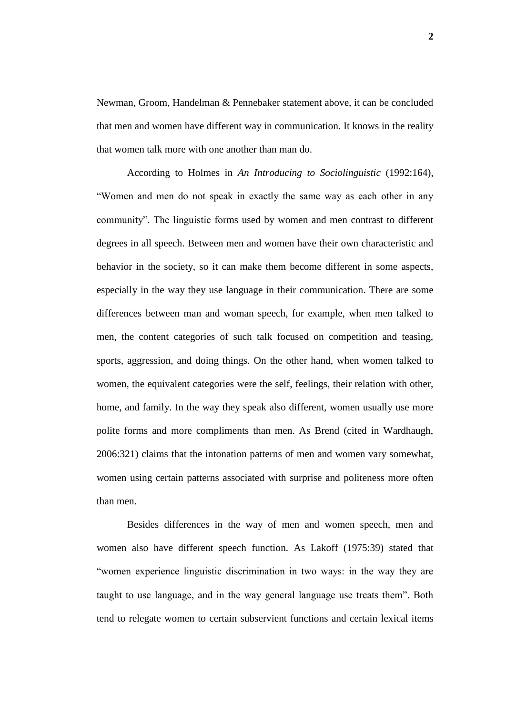Newman, Groom, Handelman & Pennebaker statement above, it can be concluded that men and women have different way in communication. It knows in the reality that women talk more with one another than man do.

According to Holmes in *An Introducing to Sociolinguistic* (1992:164), "Women and men do not speak in exactly the same way as each other in any community". The linguistic forms used by women and men contrast to different degrees in all speech. Between men and women have their own characteristic and behavior in the society, so it can make them become different in some aspects, especially in the way they use language in their communication. There are some differences between man and woman speech, for example, when men talked to men, the content categories of such talk focused on competition and teasing, sports, aggression, and doing things. On the other hand, when women talked to women, the equivalent categories were the self, feelings, their relation with other, home, and family. In the way they speak also different, women usually use more polite forms and more compliments than men. As Brend (cited in Wardhaugh, 2006:321) claims that the intonation patterns of men and women vary somewhat, women using certain patterns associated with surprise and politeness more often than men.

Besides differences in the way of men and women speech, men and women also have different speech function. As Lakoff (1975:39) stated that "women experience linguistic discrimination in two ways: in the way they are taught to use language, and in the way general language use treats them". Both tend to relegate women to certain subservient functions and certain lexical items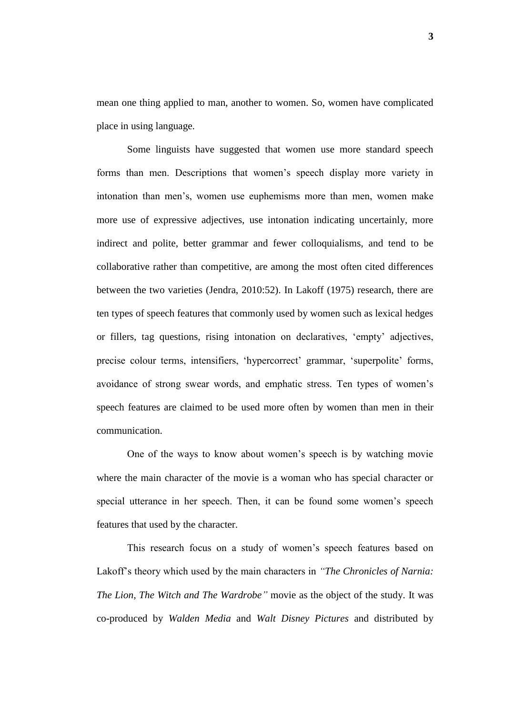mean one thing applied to man, another to women. So, women have complicated place in using language.

Some linguists have suggested that women use more standard speech forms than men. Descriptions that women"s speech display more variety in intonation than men"s, women use euphemisms more than men, women make more use of expressive adjectives, use intonation indicating uncertainly, more indirect and polite, better grammar and fewer colloquialisms, and tend to be collaborative rather than competitive, are among the most often cited differences between the two varieties (Jendra, 2010:52). In Lakoff (1975) research, there are ten types of speech features that commonly used by women such as lexical hedges or fillers, tag questions, rising intonation on declaratives, "empty" adjectives, precise colour terms, intensifiers, 'hypercorrect' grammar, 'superpolite' forms, avoidance of strong swear words, and emphatic stress. Ten types of women"s speech features are claimed to be used more often by women than men in their communication.

One of the ways to know about women's speech is by watching movie where the main character of the movie is a woman who has special character or special utterance in her speech. Then, it can be found some women"s speech features that used by the character.

This research focus on a study of women"s speech features based on Lakoff"s theory which used by the main characters in *"The Chronicles of Narnia: The Lion, The Witch and The Wardrobe"* movie as the object of the study. It was co-produced by *[Walden Media](http://en.wikipedia.org/wiki/Walden_Media)* and *[Walt Disney Pictures](http://en.wikipedia.org/wiki/Walt_Disney_Pictures)* and distributed by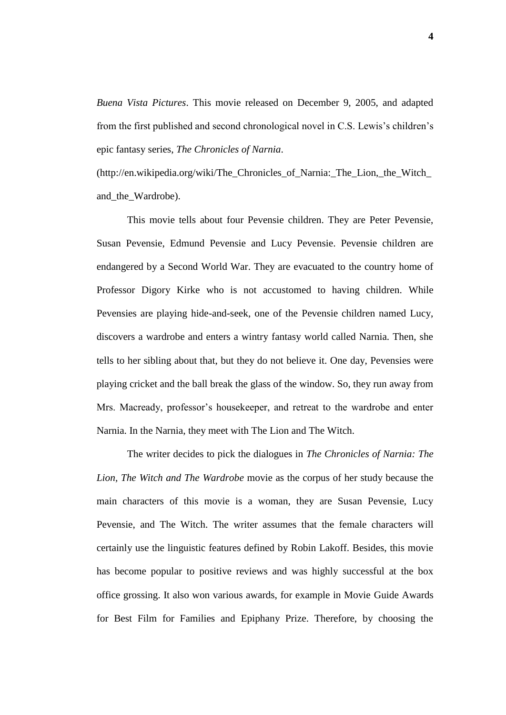*[Buena Vista Pictures](http://en.wikipedia.org/wiki/Walt_Disney_Studios_Motion_Pictures)*. This movie released on December 9, 2005, and adapted from the first published and second chronological novel in C.S. Lewis"s children"s epic fantasy series, *The Chronicles of Narnia*.

[\(http://en.wikipedia.org/wiki/The\\_Chronicles\\_of\\_Narnia:\\_The\\_Lion,\\_the\\_Witch\\_](http://en.wikipedia.org/wiki/The_Chronicles_of_Narnia:_The_Lion,_the_Witch_and_the_Wardrobe) [and\\_the\\_Wardrobe\)](http://en.wikipedia.org/wiki/The_Chronicles_of_Narnia:_The_Lion,_the_Witch_and_the_Wardrobe).

This movie tells about four Pevensie children. They are Peter Pevensie, Susan Pevensie, Edmund Pevensie and Lucy Pevensie. Pevensie children are endangered by a Second World War. They are evacuated to the country home of Professor Digory Kirke who is not accustomed to having children. While Pevensies are playing hide-and-seek, one of the Pevensie children named Lucy, discovers a wardrobe and enters a wintry fantasy world called Narnia. Then, she tells to her sibling about that, but they do not believe it. One day, Pevensies were playing cricket and the ball break the glass of the window. So, they run away from Mrs. Macready, professor's housekeeper, and retreat to the wardrobe and enter Narnia. In the Narnia, they meet with The Lion and The Witch.

The writer decides to pick the dialogues in *The Chronicles of Narnia: The Lion, The Witch and The Wardrobe* movie as the corpus of her study because the main characters of this movie is a woman, they are Susan Pevensie, Lucy Pevensie, and The Witch. The writer assumes that the female characters will certainly use the linguistic features defined by Robin Lakoff. Besides, this movie has become popular to positive reviews and was highly successful at the box office grossing. It also won various awards, for example in Movie Guide Awards for Best Film for Families and Epiphany Prize. Therefore, by choosing the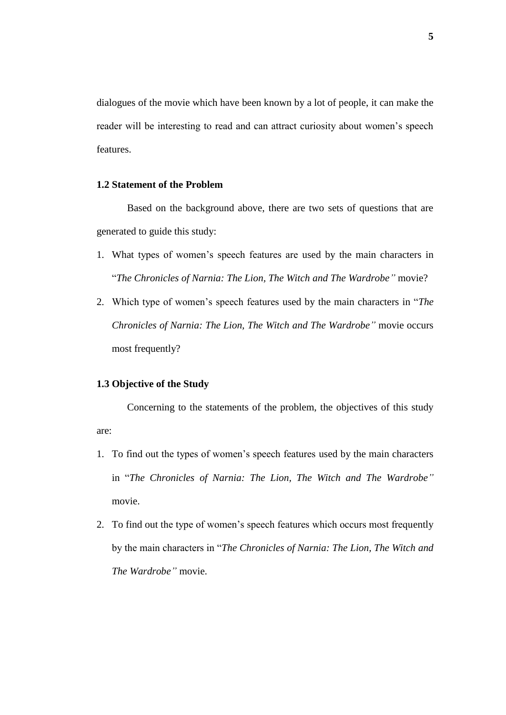dialogues of the movie which have been known by a lot of people, it can make the reader will be interesting to read and can attract curiosity about women"s speech features.

# **1.2 Statement of the Problem**

Based on the background above, there are two sets of questions that are generated to guide this study:

- 1. What types of women"s speech features are used by the main characters in "*The Chronicles of Narnia: The Lion, The Witch and The Wardrobe"* movie?
- 2. Which type of women"s speech features used by the main characters in "*The Chronicles of Narnia: The Lion, The Witch and The Wardrobe"* movie occurs most frequently?

### **1.3 Objective of the Study**

Concerning to the statements of the problem, the objectives of this study are:

- 1. To find out the types of women"s speech features used by the main characters in "*The Chronicles of Narnia: The Lion, The Witch and The Wardrobe"* movie.
- 2. To find out the type of women"s speech features which occurs most frequently by the main characters in "*The Chronicles of Narnia: The Lion, The Witch and The Wardrobe"* movie.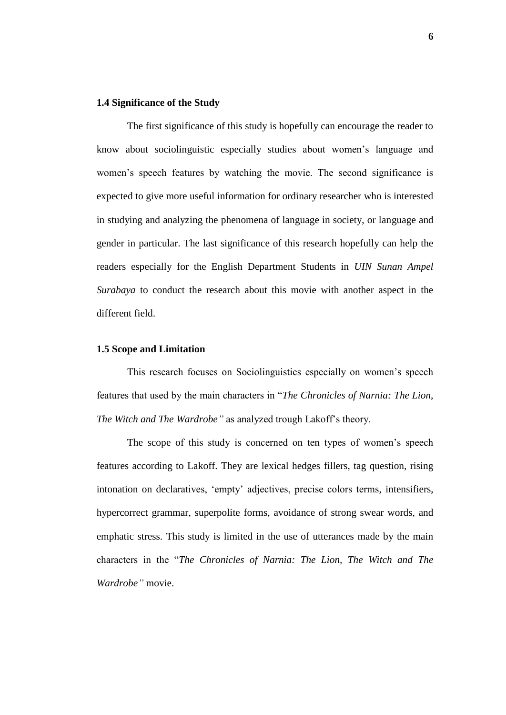#### **1.4 Significance of the Study**

The first significance of this study is hopefully can encourage the reader to know about sociolinguistic especially studies about women"s language and women"s speech features by watching the movie. The second significance is expected to give more useful information for ordinary researcher who is interested in studying and analyzing the phenomena of language in society, or language and gender in particular. The last significance of this research hopefully can help the readers especially for the English Department Students in *UIN Sunan Ampel Surabaya* to conduct the research about this movie with another aspect in the different field.

# **1.5 Scope and Limitation**

This research focuses on Sociolinguistics especially on women"s speech features that used by the main characters in "*The Chronicles of Narnia: The Lion, The Witch and The Wardrobe"* as analyzed trough Lakoff"s theory.

The scope of this study is concerned on ten types of women's speech features according to Lakoff. They are lexical hedges fillers, tag question, rising intonation on declaratives, "empty" adjectives, precise colors terms, intensifiers, hypercorrect grammar, superpolite forms, avoidance of strong swear words, and emphatic stress. This study is limited in the use of utterances made by the main characters in the "*The Chronicles of Narnia: The Lion, The Witch and The Wardrobe"* movie.